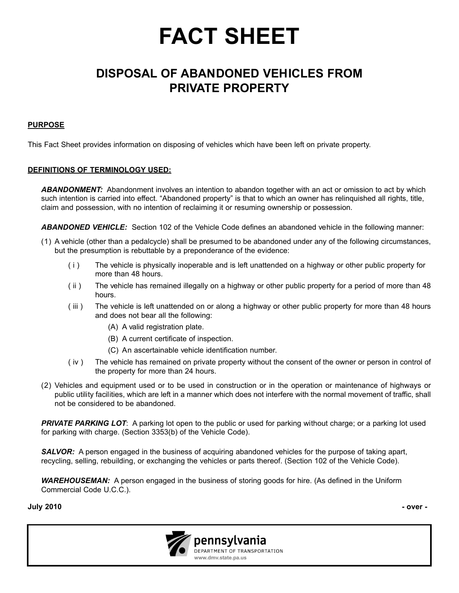# **FACT SHEET**

## **DISPOSAL OF ABANDONED VEHICLES FROM PRIVATE PROPERTY**

#### **PURPOSE**

This Fact Sheet provides information on disposing of vehicles which have been left on private property.

#### **DEFINITIONS OF TERMINOLOGY USED:**

*ABANDONMENT:* Abandonment involves an intention to abandon together with an act or omission to act by which such intention is carried into effect. "Abandoned property" is that to which an owner has relinquished all rights, title, claim and possession, with no intention of reclaiming it or resuming ownership or possession.

*ABANDONED VEHICLE:* Section 102 of the Vehicle Code defines an abandoned vehicle in the following manner:

- (1) A vehicle (other than a pedalcycle) shall be presumed to be abandoned under any of the following circumstances, but the presumption is rebuttable by a preponderance of the evidence:
	- ( i ) The vehicle is physically inoperable and is left unattended on a highway or other public property for more than 48 hours.
	- ( ii ) The vehicle has remained illegally on a highway or other public property for a period of more than 48 hours.
	- ( iii ) The vehicle is left unattended on or along a highway or other public property for more than 48 hours and does not bear all the following:
		- (A) A valid registration plate.
		- (B) A current certificate of inspection.
		- (C) An ascertainable vehicle identification number.
	- ( iv ) The vehicle has remained on private property without the consent of the owner or person in control of the property for more than 24 hours.
- (2) Vehicles and equipment used or to be used in construction or in the operation or maintenance of highways or public utility facilities, which are left in a manner which does not interfere with the normal movement of traffic, shall not be considered to be abandoned.

*PRIVATE PARKING LOT*: A parking lot open to the public or used for parking without charge; or a parking lot used for parking with charge. (Section 3353(b) of the Vehicle Code).

**SALVOR:** A person engaged in the business of acquiring abandoned vehicles for the purpose of taking apart, recycling, selling, rebuilding, or exchanging the vehicles or parts thereof. (Section 102 of the Vehicle Code).

*WAREHOUSEMAN:* A person engaged in the business of storing goods for hire. (As defined in the Uniform Commercial Code U.C.C.).

**July 2010 - over -**